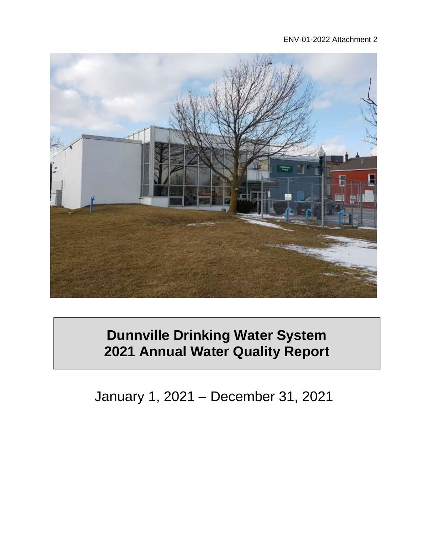#### ENV-01-2022 Attachment 2



# **Dunnville Drinking Water System 2021 Annual Water Quality Report**

January 1, 2021 – December 31, 2021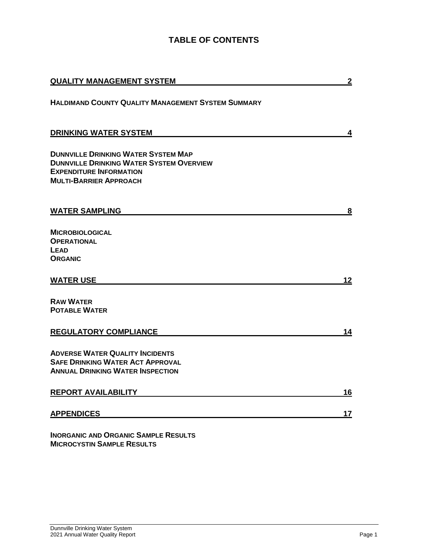### **TABLE OF CONTENTS**

| <b>QUALITY MANAGEMENT SYSTEM</b>                                                                                                                                 | $\overline{2}$ |
|------------------------------------------------------------------------------------------------------------------------------------------------------------------|----------------|
| <b>HALDIMAND COUNTY QUALITY MANAGEMENT SYSTEM SUMMARY</b>                                                                                                        |                |
| <b>DRINKING WATER SYSTEM</b>                                                                                                                                     | 4              |
| <b>DUNNVILLE DRINKING WATER SYSTEM MAP</b><br><b>DUNNVILLE DRINKING WATER SYSTEM OVERVIEW</b><br><b>EXPENDITURE INFORMATION</b><br><b>MULTI-BARRIER APPROACH</b> |                |
| <b>WATER SAMPLING</b>                                                                                                                                            | 8              |
| <b>MICROBIOLOGICAL</b><br><b>OPERATIONAL</b><br>LEAD<br><b>ORGANIC</b>                                                                                           |                |
| <b>WATER USE</b>                                                                                                                                                 | 12             |
| <b>RAW WATER</b><br><b>POTABLE WATER</b>                                                                                                                         |                |
| <b>REGULATORY COMPLIANCE</b>                                                                                                                                     | 14             |
| <b>ADVERSE WATER QUALITY INCIDENTS</b><br><b>SAFE DRINKING WATER ACT APPROVAL</b><br><b>ANNUAL DRINKING WATER INSPECTION</b>                                     |                |
| <b>REPORT AVAILABILITY</b>                                                                                                                                       | 16             |
| <b>APPENDICES</b>                                                                                                                                                | 17             |
|                                                                                                                                                                  |                |

**INORGANIC AND ORGANIC SAMPLE RESULTS MICROCYSTIN SAMPLE RESULTS**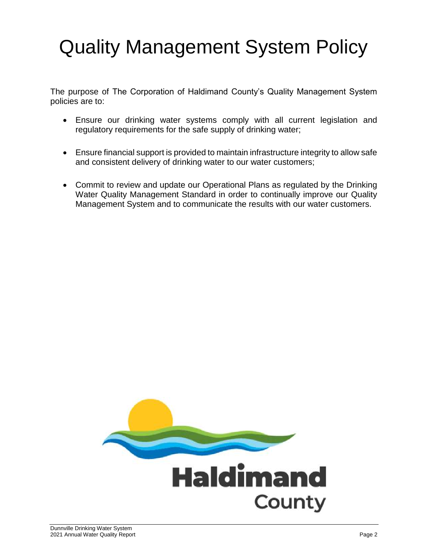# Quality Management System Policy

The purpose of The Corporation of Haldimand County's Quality Management System policies are to:

- Ensure our drinking water systems comply with all current legislation and regulatory requirements for the safe supply of drinking water;
- Ensure financial support is provided to maintain infrastructure integrity to allow safe and consistent delivery of drinking water to our water customers;
- Commit to review and update our Operational Plans as regulated by the Drinking Water Quality Management Standard in order to continually improve our Quality Management System and to communicate the results with our water customers.

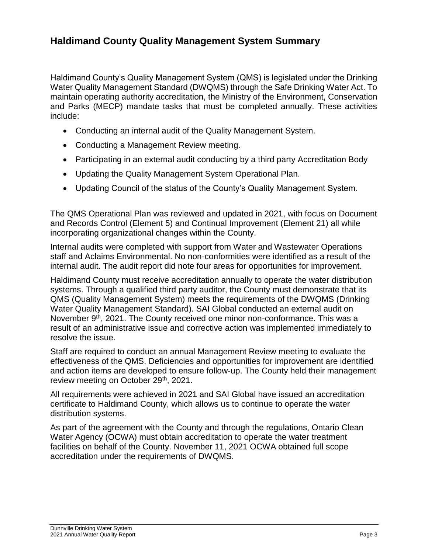### **Haldimand County Quality Management System Summary**

Haldimand County's Quality Management System (QMS) is legislated under the Drinking Water Quality Management Standard (DWQMS) through the Safe Drinking Water Act. To maintain operating authority accreditation, the Ministry of the Environment, Conservation and Parks (MECP) mandate tasks that must be completed annually. These activities include:

- Conducting an internal audit of the Quality Management System.
- Conducting a Management Review meeting.
- Participating in an external audit conducting by a third party Accreditation Body
- Updating the Quality Management System Operational Plan.
- Updating Council of the status of the County's Quality Management System.

The QMS Operational Plan was reviewed and updated in 2021, with focus on Document and Records Control (Element 5) and Continual Improvement (Element 21) all while incorporating organizational changes within the County.

Internal audits were completed with support from Water and Wastewater Operations staff and Aclaims Environmental. No non-conformities were identified as a result of the internal audit. The audit report did note four areas for opportunities for improvement.

Haldimand County must receive accreditation annually to operate the water distribution systems. Through a qualified third party auditor, the County must demonstrate that its QMS (Quality Management System) meets the requirements of the DWQMS (Drinking Water Quality Management Standard). SAI Global conducted an external audit on November 9<sup>th</sup>, 2021. The County received one minor non-conformance. This was a result of an administrative issue and corrective action was implemented immediately to resolve the issue.

Staff are required to conduct an annual Management Review meeting to evaluate the effectiveness of the QMS. Deficiencies and opportunities for improvement are identified and action items are developed to ensure follow-up. The County held their management review meeting on October 29<sup>th</sup>, 2021.

All requirements were achieved in 2021 and SAI Global have issued an accreditation certificate to Haldimand County, which allows us to continue to operate the water distribution systems.

As part of the agreement with the County and through the regulations, Ontario Clean Water Agency (OCWA) must obtain accreditation to operate the water treatment facilities on behalf of the County. November 11, 2021 OCWA obtained full scope accreditation under the requirements of DWQMS.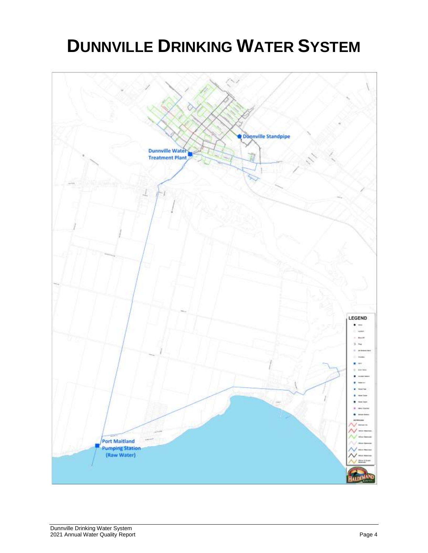# **DUNNVILLE DRINKING WATER SYSTEM**

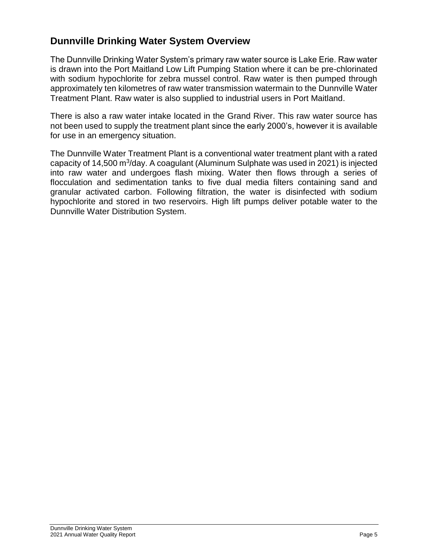### **Dunnville Drinking Water System Overview**

The Dunnville Drinking Water System's primary raw water source is Lake Erie. Raw water is drawn into the Port Maitland Low Lift Pumping Station where it can be pre-chlorinated with sodium hypochlorite for zebra mussel control. Raw water is then pumped through approximately ten kilometres of raw water transmission watermain to the Dunnville Water Treatment Plant. Raw water is also supplied to industrial users in Port Maitland.

There is also a raw water intake located in the Grand River. This raw water source has not been used to supply the treatment plant since the early 2000's, however it is available for use in an emergency situation.

The Dunnville Water Treatment Plant is a conventional water treatment plant with a rated capacity of 14,500 m<sup>3</sup>/day. A coagulant (Aluminum Sulphate was used in 2021) is injected into raw water and undergoes flash mixing. Water then flows through a series of flocculation and sedimentation tanks to five dual media filters containing sand and granular activated carbon. Following filtration, the water is disinfected with sodium hypochlorite and stored in two reservoirs. High lift pumps deliver potable water to the Dunnville Water Distribution System.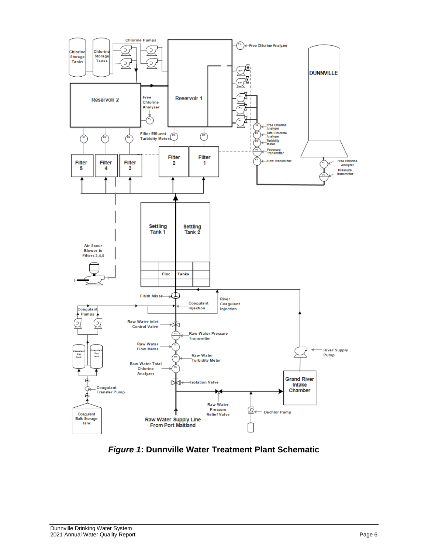

*Figure 1***: Dunnville Water Treatment Plant Schematic**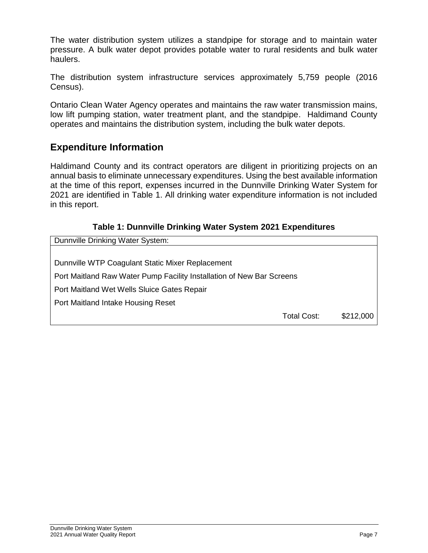The water distribution system utilizes a standpipe for storage and to maintain water pressure. A bulk water depot provides potable water to rural residents and bulk water haulers.

The distribution system infrastructure services approximately 5,759 people (2016 Census).

Ontario Clean Water Agency operates and maintains the raw water transmission mains, low lift pumping station, water treatment plant, and the standpipe. Haldimand County operates and maintains the distribution system, including the bulk water depots.

#### **Expenditure Information**

Haldimand County and its contract operators are diligent in prioritizing projects on an annual basis to eliminate unnecessary expenditures. Using the best available information at the time of this report, expenses incurred in the Dunnville Drinking Water System for 2021 are identified in Table 1. All drinking water expenditure information is not included in this report.

#### **Table 1: Dunnville Drinking Water System 2021 Expenditures**

| Dunnville Drinking Water System:                                      |             |           |
|-----------------------------------------------------------------------|-------------|-----------|
|                                                                       |             |           |
| Dunnville WTP Coagulant Static Mixer Replacement                      |             |           |
| Port Maitland Raw Water Pump Facility Installation of New Bar Screens |             |           |
| Port Maitland Wet Wells Sluice Gates Repair                           |             |           |
| Port Maitland Intake Housing Reset                                    |             |           |
|                                                                       | Total Cost: | \$212,000 |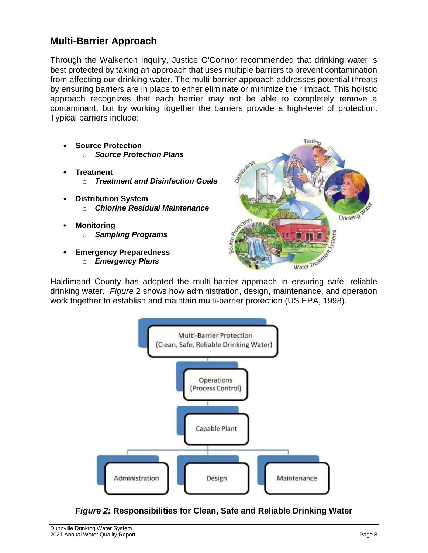#### **Multi-Barrier Approach**

Through the Walkerton Inquiry, Justice O'Connor recommended that drinking water is best protected by taking an approach that uses multiple barriers to prevent contamination from affecting our drinking water. The multi-barrier approach addresses potential threats by ensuring barriers are in place to either eliminate or minimize their impact. This holistic approach recognizes that each barrier may not be able to completely remove a contaminant, but by working together the barriers provide a high-level of protection. Typical barriers include:

- **Source Protection** o *Source Protection Plans*
- **Treatment** o *Treatment and Disinfection Goals*
- **Distribution System** o *Chlorine Residual Maintenance*
- **Monitoring** o *Sampling Programs*
- **Emergency Preparedness** o *Emergency Plans*



Haldimand County has adopted the multi-barrier approach in ensuring safe, reliable drinking water. *Figure* 2 shows how administration, design, maintenance, and operation work together to establish and maintain multi-barrier protection (US EPA, 1998).



*Figure 2:* **Responsibilities for Clean, Safe and Reliable Drinking Water**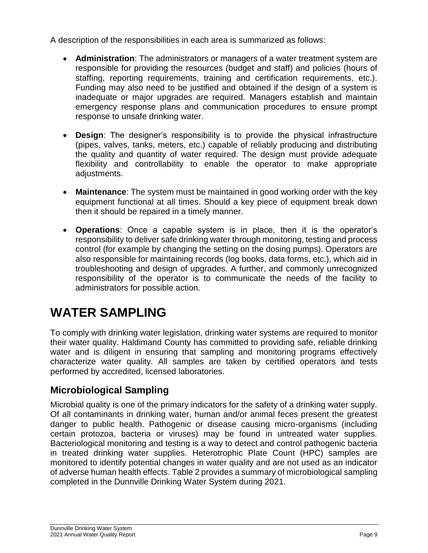A description of the responsibilities in each area is summarized as follows:

- **Administration**: The administrators or managers of a water treatment system are responsible for providing the resources (budget and staff) and policies (hours of staffing, reporting requirements, training and certification requirements, etc.). Funding may also need to be justified and obtained if the design of a system is inadequate or major upgrades are required. Managers establish and maintain emergency response plans and communication procedures to ensure prompt response to unsafe drinking water.
- **Design**: The designer's responsibility is to provide the physical infrastructure (pipes, valves, tanks, meters, etc.) capable of reliably producing and distributing the quality and quantity of water required. The design must provide adequate flexibility and controllability to enable the operator to make appropriate adjustments.
- **Maintenance**: The system must be maintained in good working order with the key equipment functional at all times. Should a key piece of equipment break down then it should be repaired in a timely manner.
- **Operations**: Once a capable system is in place, then it is the operator's responsibility to deliver safe drinking water through monitoring, testing and process control (for example by changing the setting on the dosing pumps). Operators are also responsible for maintaining records (log books, data forms, etc.), which aid in troubleshooting and design of upgrades. A further, and commonly unrecognized responsibility of the operator is to communicate the needs of the facility to administrators for possible action.

## **WATER SAMPLING**

To comply with drinking water legislation, drinking water systems are required to monitor their water quality. Haldimand County has committed to providing safe, reliable drinking water and is diligent in ensuring that sampling and monitoring programs effectively characterize water quality. All samples are taken by certified operators and tests performed by accredited, licensed laboratories.

### **Microbiological Sampling**

Microbial quality is one of the primary indicators for the safety of a drinking water supply. Of all contaminants in drinking water, human and/or animal feces present the greatest danger to public health. Pathogenic or disease causing micro-organisms (including certain protozoa, bacteria or viruses) may be found in untreated water supplies. Bacteriological monitoring and testing is a way to detect and control pathogenic bacteria in treated drinking water supplies. Heterotrophic Plate Count (HPC) samples are monitored to identify potential changes in water quality and are not used as an indicator of adverse human health effects. Table 2 provides a summary of microbiological sampling completed in the Dunnville Drinking Water System during 2021.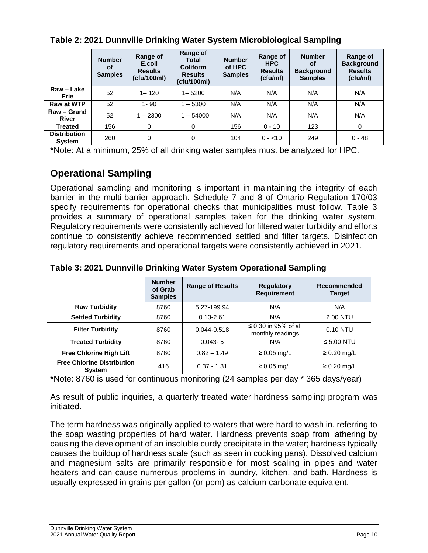|                               | <b>Number</b><br><b>of</b><br><b>Samples</b> | Range of<br>E.coli<br><b>Results</b><br>(cfu/100ml) | Range of<br><b>Total</b><br><b>Coliform</b><br><b>Results</b><br>(cfu/100ml) | <b>Number</b><br>of HPC<br><b>Samples</b> | Range of<br><b>HPC</b><br><b>Results</b><br>(cfu/ml) | <b>Number</b><br>οf<br><b>Background</b><br><b>Samples</b> | Range of<br><b>Background</b><br><b>Results</b><br>(cfu/ml) |
|-------------------------------|----------------------------------------------|-----------------------------------------------------|------------------------------------------------------------------------------|-------------------------------------------|------------------------------------------------------|------------------------------------------------------------|-------------------------------------------------------------|
| Raw - Lake<br>Erie            | 52                                           | $1 - 120$                                           | $1 - 5200$                                                                   | N/A                                       | N/A                                                  | N/A                                                        | N/A                                                         |
| Raw at WTP                    | 52                                           | $1 - 90$                                            | $-5300$                                                                      | N/A                                       | N/A                                                  | N/A                                                        | N/A                                                         |
| Raw - Grand<br><b>River</b>   | 52                                           | $1 - 2300$                                          | $1 - 54000$                                                                  | N/A                                       | N/A                                                  | N/A                                                        | N/A                                                         |
| <b>Treated</b>                | 156                                          | 0                                                   | $\Omega$                                                                     | 156                                       | $0 - 10$                                             | 123                                                        | 0                                                           |
| <b>Distribution</b><br>System | 260                                          | 0                                                   | 0                                                                            | 104                                       | $0 - 10$                                             | 249                                                        | $0 - 48$                                                    |

#### **Table 2: 2021 Dunnville Drinking Water System Microbiological Sampling**

**\***Note: At a minimum, 25% of all drinking water samples must be analyzed for HPC.

## **Operational Sampling**

Operational sampling and monitoring is important in maintaining the integrity of each barrier in the multi-barrier approach. Schedule 7 and 8 of Ontario Regulation 170/03 specify requirements for operational checks that municipalities must follow. Table 3 provides a summary of operational samples taken for the drinking water system. Regulatory requirements were consistently achieved for filtered water turbidity and efforts continue to consistently achieve recommended settled and filter targets. Disinfection regulatory requirements and operational targets were consistently achieved in 2021.

#### **Number of Grab Samples Range of Results Regulatory Requirement Recommended Target Raw Turbidity | 8760 | 5.27-199.94 | N/A | N/A Settled Turbidity | 8760 | 0.13-2.61 | N/A | 2.00 NTU Filter Turbidity** 8760 0.044-0.518 S 0.30 in 95% of all or 0.30 in 95% of all 0.10 NTU<br>monthly readings **Treated Turbidity**  $8760$  **| 0.043-5 | N/A | ≤ 5.00 NTU Free Chlorine High Lift** | 8760 | 0.82 – 1.49 | ≥ 0.05 mg/L | ≥ 0.20 mg/L **Free Chlorine Distribution System** <sup>416</sup> 0.37 - 1.31 ≥ 0.05 mg/L ≥ 0.20 mg/L

#### **Table 3: 2021 Dunnville Drinking Water System Operational Sampling**

**\***Note: 8760 is used for continuous monitoring (24 samples per day \* 365 days/year)

As result of public inquiries, a quarterly treated water hardness sampling program was initiated.

The term hardness was originally applied to waters that were hard to wash in, referring to the soap wasting properties of hard water. Hardness prevents soap from lathering by causing the development of an insoluble curdy precipitate in the water; hardness typically causes the buildup of hardness scale (such as seen in cooking pans). Dissolved calcium and magnesium salts are primarily responsible for most scaling in pipes and water heaters and can cause numerous problems in laundry, kitchen, and bath. Hardness is usually expressed in grains per gallon (or ppm) as calcium carbonate equivalent.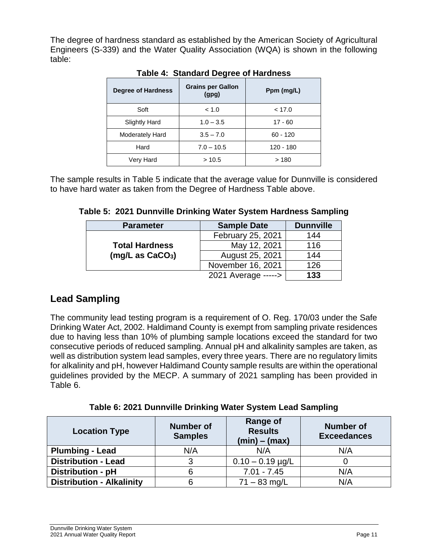The degree of hardness standard as established by the American Society of Agricultural Engineers (S-339) and the Water Quality Association (WQA) is shown in the following table:

| <b>Degree of Hardness</b> | <b>Grains per Gallon</b><br>(gpg) | Ppm (mg/L) |
|---------------------------|-----------------------------------|------------|
| Soft                      | < 1.0                             | < 17.0     |
| <b>Slightly Hard</b>      | $1.0 - 3.5$                       | $17 - 60$  |
| Moderately Hard           | $3.5 - 7.0$                       | $60 - 120$ |
| Hard                      | $7.0 - 10.5$                      | 120 - 180  |
| Very Hard                 | >10.5                             | >180       |

#### **Table 4: Standard Degree of Hardness**

The sample results in Table 5 indicate that the average value for Dunnville is considered to have hard water as taken from the Degree of Hardness Table above.

|  |  | Table 5: 2021 Dunnville Drinking Water System Hardness Sampling |  |  |  |  |  |
|--|--|-----------------------------------------------------------------|--|--|--|--|--|
|--|--|-----------------------------------------------------------------|--|--|--|--|--|

| <b>Parameter</b>                                      | <b>Sample Date</b>  |     |  |  |
|-------------------------------------------------------|---------------------|-----|--|--|
| <b>Total Hardness</b><br>(mg/L as CaCO <sub>3</sub> ) | February 25, 2021   | 144 |  |  |
|                                                       | May 12, 2021        | 116 |  |  |
|                                                       | August 25, 2021     | 144 |  |  |
|                                                       | November 16, 2021   | 126 |  |  |
|                                                       | 2021 Average -----> | 133 |  |  |

## **Lead Sampling**

The community lead testing program is a requirement of O. Reg. 170/03 under the Safe Drinking Water Act, 2002. Haldimand County is exempt from sampling private residences due to having less than 10% of plumbing sample locations exceed the standard for two consecutive periods of reduced sampling. Annual pH and alkalinity samples are taken, as well as distribution system lead samples, every three years. There are no regulatory limits for alkalinity and pH, however Haldimand County sample results are within the operational guidelines provided by the MECP. A summary of 2021 sampling has been provided in Table 6.

**Table 6: 2021 Dunnville Drinking Water System Lead Sampling**

| <b>Location Type</b>             | <b>Number of</b><br><b>Samples</b> | <b>Range of</b><br><b>Results</b><br>$(min) - (max)$ | <b>Number of</b><br><b>Exceedances</b> |
|----------------------------------|------------------------------------|------------------------------------------------------|----------------------------------------|
| <b>Plumbing - Lead</b>           | N/A                                | N/A                                                  | N/A                                    |
| <b>Distribution - Lead</b>       |                                    | $0.10 - 0.19$ µg/L                                   |                                        |
| Distribution - pH                |                                    | $7.01 - 7.45$                                        | N/A                                    |
| <b>Distribution - Alkalinity</b> |                                    | $71 - 83$ mg/L                                       | N/A                                    |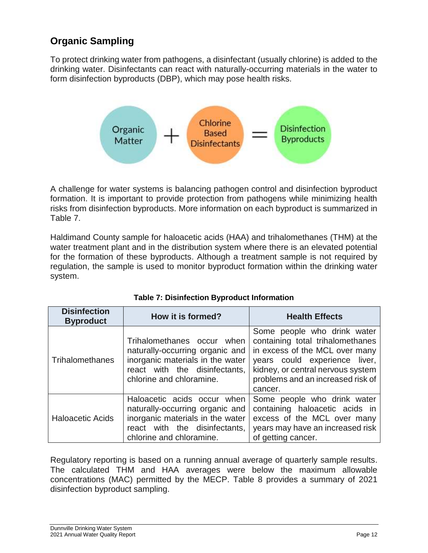## **Organic Sampling**

To protect drinking water from pathogens, a disinfectant (usually chlorine) is added to the drinking water. Disinfectants can react with naturally-occurring materials in the water to form disinfection byproducts (DBP), which may pose health risks.



A challenge for water systems is balancing pathogen control and disinfection byproduct formation. It is important to provide protection from pathogens while minimizing health risks from disinfection byproducts. More information on each byproduct is summarized in Table 7.

Haldimand County sample for haloacetic acids (HAA) and trihalomethanes (THM) at the water treatment plant and in the distribution system where there is an elevated potential for the formation of these byproducts. Although a treatment sample is not required by regulation, the sample is used to monitor byproduct formation within the drinking water system.

| <b>Disinfection</b><br><b>Byproduct</b> | How it is formed?                                                                                                                                               | <b>Health Effects</b>                                                                                                                                                                                                   |  |
|-----------------------------------------|-----------------------------------------------------------------------------------------------------------------------------------------------------------------|-------------------------------------------------------------------------------------------------------------------------------------------------------------------------------------------------------------------------|--|
| Trihalomethanes                         | Trihalomethanes occur when<br>naturally-occurring organic and<br>inorganic materials in the water<br>react with the disinfectants,<br>chlorine and chloramine.  | Some people who drink water<br>containing total trihalomethanes<br>in excess of the MCL over many<br>years could experience liver,<br>kidney, or central nervous system<br>problems and an increased risk of<br>cancer. |  |
| <b>Haloacetic Acids</b>                 | Haloacetic acids occur when<br>naturally-occurring organic and<br>inorganic materials in the water<br>react with the disinfectants,<br>chlorine and chloramine. | Some people who drink water<br>containing haloacetic acids in<br>excess of the MCL over many<br>years may have an increased risk<br>of getting cancer.                                                                  |  |

Regulatory reporting is based on a running annual average of quarterly sample results. The calculated THM and HAA averages were below the maximum allowable concentrations (MAC) permitted by the MECP. Table 8 provides a summary of 2021 disinfection byproduct sampling.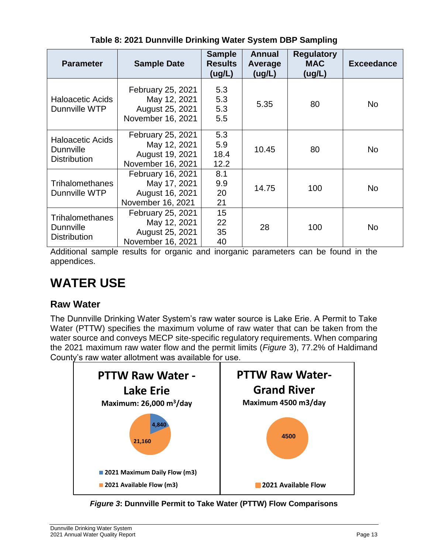| <b>Parameter</b>                                                   | <b>Sample Date</b>                                                        | <b>Sample</b><br><b>Results</b><br>(ug/L) | <b>Annual</b><br>Average<br>(ug/L) | <b>Regulatory</b><br><b>MAC</b><br>(ug/L) | <b>Exceedance</b> |
|--------------------------------------------------------------------|---------------------------------------------------------------------------|-------------------------------------------|------------------------------------|-------------------------------------------|-------------------|
| <b>Haloacetic Acids</b><br>Dunnville WTP                           | February 25, 2021<br>May 12, 2021<br>August 25, 2021<br>November 16, 2021 | 5.3<br>5.3<br>5.3<br>5.5                  | 5.35                               | 80                                        | N <sub>o</sub>    |
| <b>Haloacetic Acids</b><br><b>Dunnville</b><br><b>Distribution</b> | February 25, 2021<br>May 12, 2021<br>August 19, 2021<br>November 16, 2021 | 5.3<br>5.9<br>18.4<br>12.2                | 10.45                              | 80                                        | N <sub>o</sub>    |
| <b>Trihalomethanes</b><br>Dunnville WTP                            | February 16, 2021<br>May 17, 2021<br>August 16, 2021<br>November 16, 2021 | 8.1<br>9.9<br>20<br>21                    | 14.75                              | 100                                       | <b>No</b>         |
| <b>Trihalomethanes</b><br><b>Dunnville</b><br><b>Distribution</b>  | February 25, 2021<br>May 12, 2021<br>August 25, 2021<br>November 16, 2021 | 15<br>22<br>35<br>40                      | 28                                 | 100                                       | <b>No</b>         |

**Table 8: 2021 Dunnville Drinking Water System DBP Sampling**

Additional sample results for organic and inorganic parameters can be found in the appendices.

## **WATER USE**

## **Raw Water**

The Dunnville Drinking Water System's raw water source is Lake Erie. A Permit to Take Water (PTTW) specifies the maximum volume of raw water that can be taken from the water source and conveys MECP site-specific regulatory requirements. When comparing the 2021 maximum raw water flow and the permit limits (*Figure* 3), 77.2% of Haldimand County's raw water allotment was available for use.



*Figure 3***: Dunnville Permit to Take Water (PTTW) Flow Comparisons**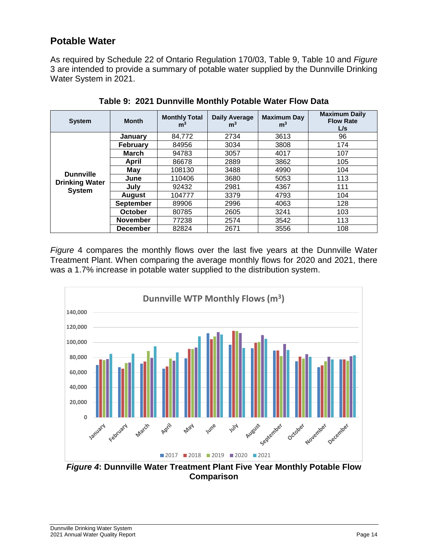### **Potable Water**

As required by Schedule 22 of Ontario Regulation 170/03, Table 9, Table 10 and *Figure* 3 are intended to provide a summary of potable water supplied by the Dunnville Drinking Water System in 2021.

| <b>System</b>                                              | <b>Month</b>     | <b>Monthly Total</b><br>m <sup>3</sup> | <b>Daily Average</b><br>m <sup>3</sup> | <b>Maximum Day</b><br>m <sup>3</sup> | <b>Maximum Daily</b><br><b>Flow Rate</b><br>L/s |
|------------------------------------------------------------|------------------|----------------------------------------|----------------------------------------|--------------------------------------|-------------------------------------------------|
|                                                            | January          | 84,772                                 | 2734                                   | 3613                                 | 96                                              |
|                                                            | <b>February</b>  | 84956                                  | 3034                                   | 3808                                 | 174                                             |
|                                                            | March            | 94783                                  | 3057                                   | 4017                                 | 107                                             |
|                                                            | April            | 86678                                  | 2889                                   | 3862                                 | 105                                             |
|                                                            | May              | 108130                                 | 3488                                   | 4990                                 | 104                                             |
| <b>Dunnville</b><br><b>Drinking Water</b><br><b>System</b> | June             | 110406                                 | 3680                                   | 5053                                 | 113                                             |
|                                                            | July             | 92432                                  | 2981                                   | 4367                                 | 111                                             |
|                                                            | <b>August</b>    | 104777                                 | 3379                                   | 4793                                 | 104                                             |
|                                                            | <b>September</b> | 89906                                  | 2996                                   | 4063                                 | 128                                             |
|                                                            | October          | 80785                                  | 2605                                   | 3241                                 | 103                                             |
|                                                            | <b>November</b>  | 77238                                  | 2574                                   | 3542                                 | 113                                             |
|                                                            | <b>December</b>  | 82824                                  | 2671                                   | 3556                                 | 108                                             |

**Table 9: 2021 Dunnville Monthly Potable Water Flow Data**

*Figure* 4 compares the monthly flows over the last five years at the Dunnville Water Treatment Plant. When comparing the average monthly flows for 2020 and 2021, there was a 1.7% increase in potable water supplied to the distribution system.



**Comparison**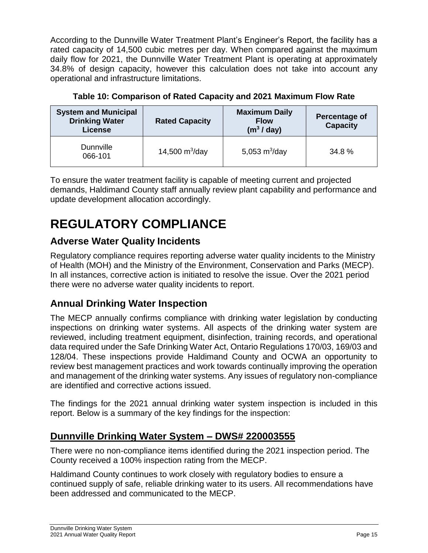According to the Dunnville Water Treatment Plant's Engineer's Report, the facility has a rated capacity of 14,500 cubic metres per day. When compared against the maximum daily flow for 2021, the Dunnville Water Treatment Plant is operating at approximately 34.8% of design capacity, however this calculation does not take into account any operational and infrastructure limitations.

| <b>System and Municipal</b><br><b>Drinking Water</b><br>License | <b>Rated Capacity</b> | <b>Maximum Daily</b><br><b>Flow</b><br>(m <sup>3</sup> /day) | <b>Percentage of</b><br><b>Capacity</b> |
|-----------------------------------------------------------------|-----------------------|--------------------------------------------------------------|-----------------------------------------|
| <b>Dunnville</b><br>066-101                                     | 14,500 $m^3$ /day     | 5,053 $m^3$ /day                                             | 34.8%                                   |

**Table 10: Comparison of Rated Capacity and 2021 Maximum Flow Rate**

To ensure the water treatment facility is capable of meeting current and projected demands, Haldimand County staff annually review plant capability and performance and update development allocation accordingly.

# **REGULATORY COMPLIANCE**

## **Adverse Water Quality Incidents**

Regulatory compliance requires reporting adverse water quality incidents to the Ministry of Health (MOH) and the Ministry of the Environment, Conservation and Parks (MECP). In all instances, corrective action is initiated to resolve the issue. Over the 2021 period there were no adverse water quality incidents to report.

## **Annual Drinking Water Inspection**

The MECP annually confirms compliance with drinking water legislation by conducting inspections on drinking water systems. All aspects of the drinking water system are reviewed, including treatment equipment, disinfection, training records, and operational data required under the Safe Drinking Water Act, Ontario Regulations 170/03, 169/03 and 128/04. These inspections provide Haldimand County and OCWA an opportunity to review best management practices and work towards continually improving the operation and management of the drinking water systems. Any issues of regulatory non-compliance are identified and corrective actions issued.

The findings for the 2021 annual drinking water system inspection is included in this report. Below is a summary of the key findings for the inspection:

## **Dunnville Drinking Water System – DWS# 220003555**

There were no non-compliance items identified during the 2021 inspection period. The County received a 100% inspection rating from the MECP.

Haldimand County continues to work closely with regulatory bodies to ensure a continued supply of safe, reliable drinking water to its users. All recommendations have been addressed and communicated to the MECP.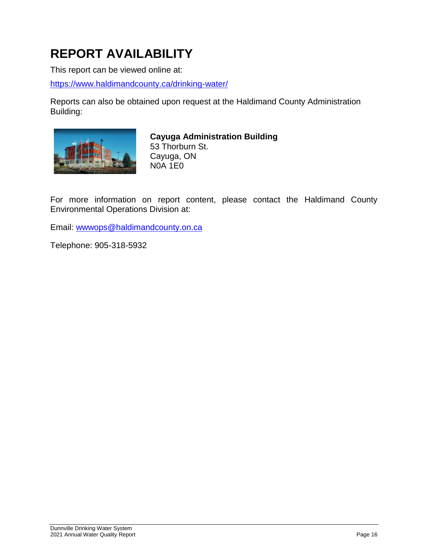# **REPORT AVAILABILITY**

This report can be viewed online at:

<https://www.haldimandcounty.ca/drinking-water/>

Reports can also be obtained upon request at the Haldimand County Administration Building:



**Cayuga Administration Building** 53 Thorburn St. Cayuga, ON N0A 1E0

For more information on report content, please contact the Haldimand County Environmental Operations Division at:

Email: [wwwops@haldimandcounty.on.ca](mailto:wwwops@haldimandcounty.on.ca)

Telephone: 905-318-5932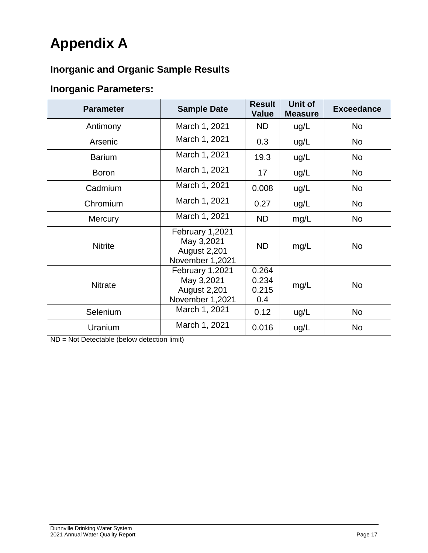# **Appendix A**

## **Inorganic and Organic Sample Results**

## **Inorganic Parameters:**

| <b>Parameter</b> | <b>Sample Date</b>                                                      | <b>Result</b><br><b>Value</b>  | <b>Unit of</b><br><b>Measure</b> | <b>Exceedance</b> |
|------------------|-------------------------------------------------------------------------|--------------------------------|----------------------------------|-------------------|
| Antimony         | March 1, 2021                                                           | <b>ND</b>                      | ug/L                             | <b>No</b>         |
| Arsenic          | March 1, 2021                                                           | 0.3                            | ug/L                             | <b>No</b>         |
| <b>Barium</b>    | March 1, 2021                                                           | 19.3                           | ug/L                             | <b>No</b>         |
| <b>Boron</b>     | March 1, 2021                                                           | 17                             | ug/L                             | <b>No</b>         |
| Cadmium          | March 1, 2021                                                           | 0.008                          | ug/L                             | <b>No</b>         |
| Chromium         | March 1, 2021                                                           | 0.27                           | ug/L                             | No.               |
| <b>Mercury</b>   | March 1, 2021                                                           | <b>ND</b>                      | mg/L                             | <b>No</b>         |
| <b>Nitrite</b>   | February 1,2021<br>May 3,2021<br><b>August 2,201</b><br>November 1,2021 | <b>ND</b>                      | mg/L                             | <b>No</b>         |
| <b>Nitrate</b>   | February 1,2021<br>May 3,2021<br>August 2,201<br>November 1,2021        | 0.264<br>0.234<br>0.215<br>0.4 | mg/L                             | <b>No</b>         |
| Selenium         | March 1, 2021                                                           | 0.12                           | ug/L                             | <b>No</b>         |
| Uranium          | March 1, 2021                                                           | 0.016                          | ug/L                             | <b>No</b>         |

ND = Not Detectable (below detection limit)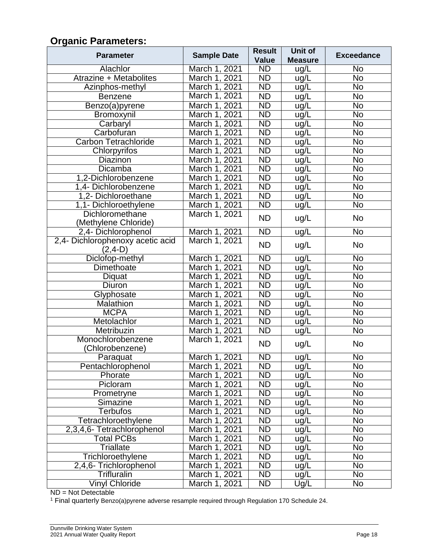## **Organic Parameters:**

| <b>Parameter</b>                              | <b>Sample Date</b> | <b>Result</b>   | Unit of        | <b>Exceedance</b>      |  |
|-----------------------------------------------|--------------------|-----------------|----------------|------------------------|--|
|                                               |                    | <b>Value</b>    | <b>Measure</b> |                        |  |
| Alachlor                                      | March 1, 2021      | ND              | ug/L           | No                     |  |
| Atrazine + Metabolites                        | March 1, 2021      | $\overline{ND}$ | ug/L           | $\overline{No}$        |  |
| Azinphos-methyl                               | March 1, 2021      | ND              | ug/L           | $\overline{N}$         |  |
| <b>Benzene</b>                                | March 1, 2021      | <b>ND</b>       | ug/L           | <b>No</b>              |  |
| Benzo(a)pyrene                                | March 1, 2021      | $\overline{ND}$ | ug/L           | $\overline{\text{No}}$ |  |
| Bromoxynil                                    | March 1, 2021      | ND              | ug/L           | $\overline{No}$        |  |
| Carbaryl                                      | March 1, 2021      | $\overline{ND}$ | ug/L           | $\overline{N}$         |  |
| Carbofuran                                    | March 1, 2021      | ND              | ug/L           | $\overline{N}$         |  |
| <b>Carbon Tetrachloride</b>                   | March 1, 2021      | $\overline{ND}$ | ug/L           | $\overline{N}$         |  |
| Chlorpyrifos                                  | March 1, 2021      | $\overline{ND}$ | ug/L           | $\overline{N}$         |  |
| Diazinon                                      | March 1, 2021      | ND              | ug/L           | $\overline{N}$         |  |
| Dicamba                                       | March 1, 2021      | $\overline{ND}$ | ug/L           | $\overline{N}$         |  |
| 1,2-Dichlorobenzene                           | March 1, 2021      | ND              | ug/L           | $\overline{N}$         |  |
| 1,4- Dichlorobenzene                          | March 1, 2021      | $\overline{ND}$ | ug/L           | $\overline{N}$         |  |
| 1,2- Dichloroethane                           | March 1, 2021      | ND              | ug/L           | $\overline{N}$         |  |
| 1,1- Dichloroethylene                         | March 1, 2021      | ND              | ug/L           | $\overline{N}$         |  |
| Dichloromethane<br>(Methylene Chloride)       | March 1, 2021      | <b>ND</b>       | ug/L           | No                     |  |
| 2,4- Dichlorophenol                           | March 1, 2021      | $\overline{ND}$ | ug/L           | <b>No</b>              |  |
| 2,4- Dichlorophenoxy acetic acid<br>$(2,4-D)$ | March 1, 2021      | <b>ND</b>       | ug/L           | No                     |  |
| Diclofop-methyl                               | March 1, 2021      | <b>ND</b>       | ug/L           | No                     |  |
| Dimethoate                                    | March 1, 2021      | ND              | ug/L           | $\overline{N}$         |  |
| Diquat                                        | March 1, 2021      | $\overline{ND}$ | ug/L           | $\overline{N}$         |  |
| Diuron                                        | March 1, 2021      | ND              | ug/L           | No                     |  |
| Glyphosate                                    | March 1, 2021      | ND              | ug/L           | $\overline{N}$         |  |
| <b>Malathion</b>                              | March 1, 2021      | ND              | ug/L           | $\overline{N}$         |  |
| <b>MCPA</b>                                   | March 1, 2021      | ND              | ug/L           | $\overline{N}$         |  |
| Metolachlor                                   | March 1, 2021      | $\overline{ND}$ | ug/L           | $\overline{N}$         |  |
| Metribuzin                                    | March 1, 2021      | $\overline{ND}$ | ug/L           | $\overline{\text{No}}$ |  |
| Monochlorobenzene                             | March 1, 2021      | <b>ND</b>       | ug/L           | No                     |  |
| (Chlorobenzene)                               |                    |                 |                |                        |  |
| Paraquat                                      | March 1, 2021      | ND              | ug/L           | $\overline{N}$         |  |
| Pentachlorophenol                             | March 1, 2021      | <b>ND</b>       | ug/L           | No                     |  |
| Phorate                                       | March 1, 2021      | $\overline{ND}$ | ug/L           | $\overline{No}$        |  |
| Picloram                                      | March 1, 2021      | <b>ND</b>       | ug/L           | No                     |  |
| Prometryne                                    | March 1, 2021      | <b>ND</b>       | ug/L           | $\overline{N}$         |  |
| Simazine                                      | March 1, 2021      | ND              | ug/L           | $\overline{N}$         |  |
| Terbufos                                      | March 1, 2021      | <b>ND</b>       | ug/L           | $\overline{N}$         |  |
| Tetrachloroethylene                           | March 1, 2021      | ND              | ug/L           | $\overline{N}$         |  |
| 2,3,4,6- Tetrachlorophenol                    | March 1, 2021      | $\overline{ND}$ | ug/L           | $\overline{N}$         |  |
| <b>Total PCBs</b>                             | March 1, 2021      | ND              | ug/L           | $\overline{N}$         |  |
| Triallate                                     | March 1, 2021      | ND              | ug/L           | $\overline{N}$         |  |
| Trichloroethylene                             | March 1, 2021      | <b>ND</b>       | ug/L           | No                     |  |
| $2,4,6$ - Trichlorophenol                     | March 1, 2021      | <b>ND</b>       | ug/L           | No                     |  |
| Trifluralin                                   | March 1, 2021      | <b>ND</b>       | ug/L           | No                     |  |
| <b>Vinyl Chloride</b>                         | March 1, 2021      | <b>ND</b>       | Ug/L           | No                     |  |

ND = Not Detectable

<sup>1</sup> Final quarterly Benzo(a)pyrene adverse resample required through Regulation 170 Schedule 24.